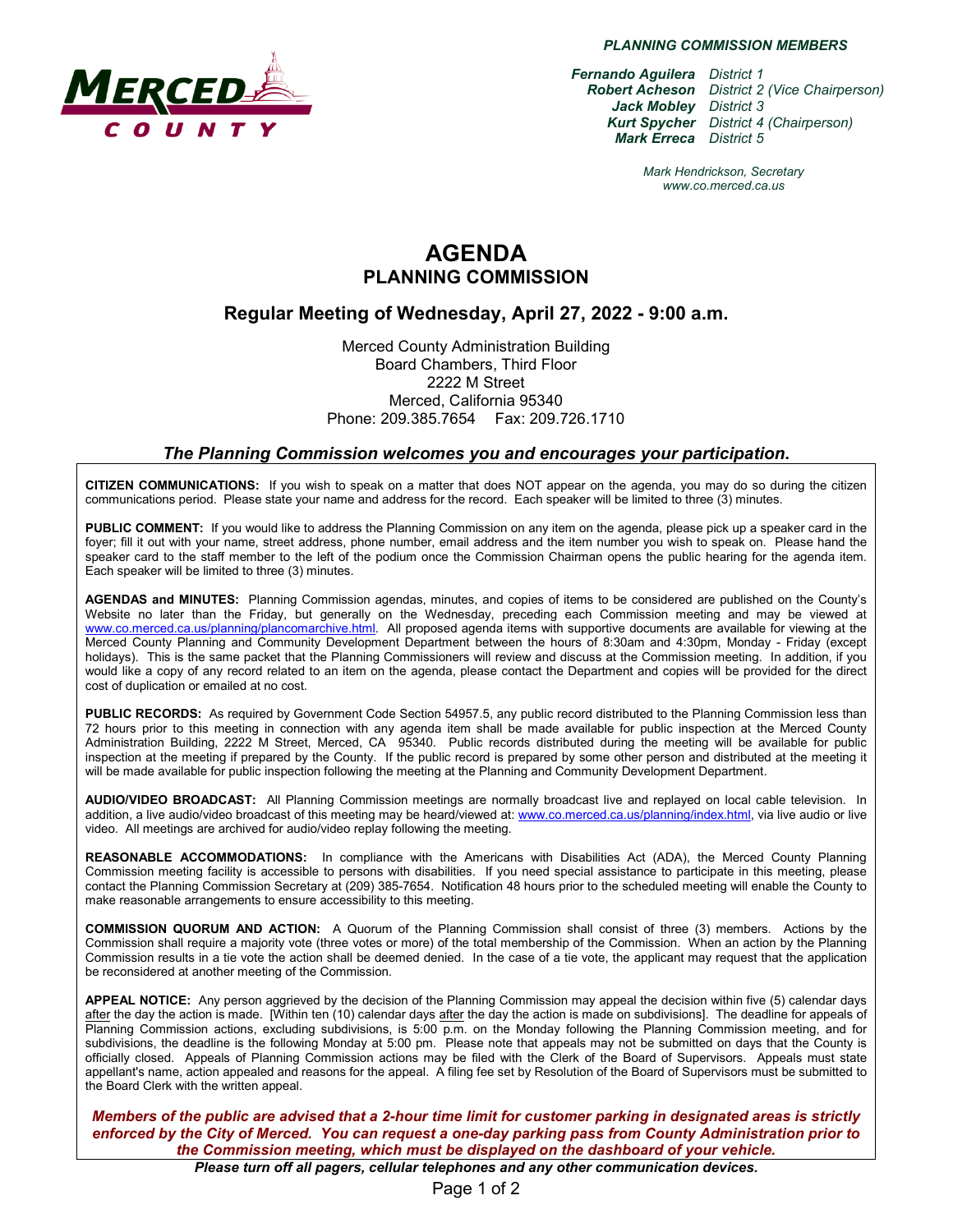

*PLANNING COMMISSION MEMBERS*

*Fernando Aguilera District 1 Robert Acheson District 2 (Vice Chairperson) Jack Mobley District 3 Kurt Spycher District 4 (Chairperson) Mark Erreca District 5*

> *Mark Hendrickson, Secretary www.co.merced.ca.us*

# **AGENDA PLANNING COMMISSION**

### **Regular Meeting of Wednesday, April 27, 2022 - 9:00 a.m.**

Merced County Administration Building Board Chambers, Third Floor 2222 M Street Merced, California 95340 Phone: 209.385.7654 Fax: 209.726.1710

#### *The Planning Commission welcomes you and encourages your participation***.**

**CITIZEN COMMUNICATIONS:** If you wish to speak on a matter that does NOT appear on the agenda, you may do so during the citizen communications period. Please state your name and address for the record. Each speaker will be limited to three (3) minutes.

**PUBLIC COMMENT:** If you would like to address the Planning Commission on any item on the agenda, please pick up a speaker card in the foyer; fill it out with your name, street address, phone number, email address and the item number you wish to speak on. Please hand the speaker card to the staff member to the left of the podium once the Commission Chairman opens the public hearing for the agenda item. Each speaker will be limited to three (3) minutes.

**AGENDAS and MINUTES:** Planning Commission agendas, minutes, and copies of items to be considered are published on the County's Website no later than the Friday, but generally on the Wednesday, preceding each Commission meeting and may be viewed at [www.co.merced.ca.us/planning/plancomarchive.html.](http://www.co.merced.ca.us/planning/plancomarchive.html) All proposed agenda items with supportive documents are available for viewing at the Merced County Planning and Community Development Department between the hours of 8:30am and 4:30pm, Monday - Friday (except holidays). This is the same packet that the Planning Commissioners will review and discuss at the Commission meeting. In addition, if you would like a copy of any record related to an item on the agenda, please contact the Department and copies will be provided for the direct cost of duplication or emailed at no cost.

**PUBLIC RECORDS:** As required by Government Code Section 54957.5, any public record distributed to the Planning Commission less than 72 hours prior to this meeting in connection with any agenda item shall be made available for public inspection at the Merced County Administration Building, 2222 M Street, Merced, CA 95340. Public records distributed during the meeting will be available for public inspection at the meeting if prepared by the County. If the public record is prepared by some other person and distributed at the meeting it will be made available for public inspection following the meeting at the Planning and Community Development Department.

**AUDIO/VIDEO BROADCAST:** All Planning Commission meetings are normally broadcast live and replayed on local cable television. In addition, a live audio/video broadcast of this meeting may be heard/viewed at: [www.co.merced.ca.us/planning/index.html,](http://www.co.merced.ca.us/planning/index.html) via live audio or live video. All meetings are archived for audio/video replay following the meeting.

**REASONABLE ACCOMMODATIONS:** In compliance with the Americans with Disabilities Act (ADA), the Merced County Planning Commission meeting facility is accessible to persons with disabilities. If you need special assistance to participate in this meeting, please contact the Planning Commission Secretary at (209) 385-7654. Notification 48 hours prior to the scheduled meeting will enable the County to make reasonable arrangements to ensure accessibility to this meeting.

**COMMISSION QUORUM AND ACTION:** A Quorum of the Planning Commission shall consist of three (3) members. Actions by the Commission shall require a majority vote (three votes or more) of the total membership of the Commission. When an action by the Planning Commission results in a tie vote the action shall be deemed denied. In the case of a tie vote, the applicant may request that the application be reconsidered at another meeting of the Commission.

**APPEAL NOTICE:** Any person aggrieved by the decision of the Planning Commission may appeal the decision within five (5) calendar days after the day the action is made. [Within ten (10) calendar days after the day the action is made on subdivisions]. The deadline for appeals of Planning Commission actions, excluding subdivisions, is 5:00 p.m. on the Monday following the Planning Commission meeting, and for subdivisions, the deadline is the following Monday at 5:00 pm. Please note that appeals may not be submitted on days that the County is officially closed. Appeals of Planning Commission actions may be filed with the Clerk of the Board of Supervisors. Appeals must state appellant's name, action appealed and reasons for the appeal. A filing fee set by Resolution of the Board of Supervisors must be submitted to the Board Clerk with the written appeal.

*Members of the public are advised that a 2-hour time limit for customer parking in designated areas is strictly enforced by the City of Merced. You can request a one-day parking pass from County Administration prior to the Commission meeting, which must be displayed on the dashboard of your vehicle.*

*Please turn off all pagers, cellular telephones and any other communication devices.*